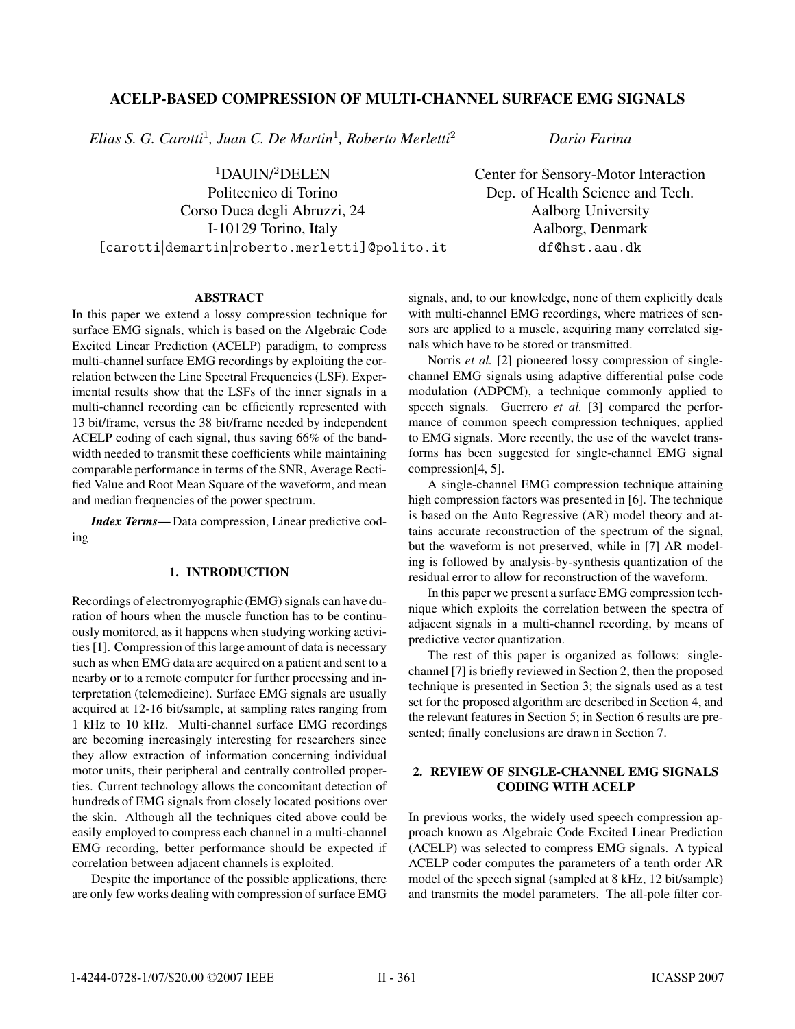# ACELP-BASED COMPRESSION OF MULTI-CHANNEL SURFACE EMG SIGNALS

*Elias S. G. Carotti*<sup>1</sup>*, Juan C. De Martin*<sup>1</sup>*, Roberto Merletti*<sup>2</sup>

 $1$ DAUIN/ $2$ DELEN Politecnico di Torino

Corso Duca degli Abruzzi, 24 I-10129 Torino, Italy [carotti|demartin|roberto.merletti]@polito.it Dep. of Health Science and Tech. Aalborg University Aalborg, Denmark df@hst.aau.dk

*Dario Farina*

Center for Sensory-Motor Interaction

### ABSTRACT

In this paper we extend a lossy compression technique for surface EMG signals, which is based on the Algebraic Code Excited Linear Prediction (ACELP) paradigm, to compress multi-channel surface EMG recordings by exploiting the correlation between the Line Spectral Frequencies (LSF). Experimental results show that the LSFs of the inner signals in a multi-channel recording can be efficiently represented with 13 bit/frame, versus the 38 bit/frame needed by independent ACELP coding of each signal, thus saving 66% of the bandwidth needed to transmit these coefficients while maintaining comparable performance in terms of the SNR, Average Rectified Value and Root Mean Square of the waveform, and mean and median frequencies of the power spectrum.

*Index Terms*— Data compression, Linear predictive coding

## 1. INTRODUCTION

Recordings of electromyographic (EMG) signals can have duration of hours when the muscle function has to be continuously monitored, as it happens when studying working activities [1]. Compression of this large amount of data is necessary such as when EMG data are acquired on a patient and sent to a nearby or to a remote computer for further processing and interpretation (telemedicine). Surface EMG signals are usually acquired at 12-16 bit/sample, at sampling rates ranging from 1 kHz to 10 kHz. Multi-channel surface EMG recordings are becoming increasingly interesting for researchers since they allow extraction of information concerning individual motor units, their peripheral and centrally controlled properties. Current technology allows the concomitant detection of hundreds of EMG signals from closely located positions over the skin. Although all the techniques cited above could be easily employed to compress each channel in a multi-channel EMG recording, better performance should be expected if correlation between adjacent channels is exploited.

Despite the importance of the possible applications, there are only few works dealing with compression of surface EMG signals, and, to our knowledge, none of them explicitly deals with multi-channel EMG recordings, where matrices of sensors are applied to a muscle, acquiring many correlated signals which have to be stored or transmitted.

Norris *et al.* [2] pioneered lossy compression of singlechannel EMG signals using adaptive differential pulse code modulation (ADPCM), a technique commonly applied to speech signals. Guerrero *et al.* [3] compared the performance of common speech compression techniques, applied to EMG signals. More recently, the use of the wavelet transforms has been suggested for single-channel EMG signal compression[4, 5].

A single-channel EMG compression technique attaining high compression factors was presented in [6]. The technique is based on the Auto Regressive (AR) model theory and attains accurate reconstruction of the spectrum of the signal, but the waveform is not preserved, while in [7] AR modeling is followed by analysis-by-synthesis quantization of the residual error to allow for reconstruction of the waveform.

In this paper we present a surface EMG compression technique which exploits the correlation between the spectra of adjacent signals in a multi-channel recording, by means of predictive vector quantization.

The rest of this paper is organized as follows: singlechannel [7] is briefly reviewed in Section 2, then the proposed technique is presented in Section 3; the signals used as a test set for the proposed algorithm are described in Section 4, and the relevant features in Section 5; in Section 6 results are presented; finally conclusions are drawn in Section 7.

## 2. REVIEW OF SINGLE-CHANNEL EMG SIGNALS CODING WITH ACELP

In previous works, the widely used speech compression approach known as Algebraic Code Excited Linear Prediction (ACELP) was selected to compress EMG signals. A typical ACELP coder computes the parameters of a tenth order AR model of the speech signal (sampled at 8 kHz, 12 bit/sample) and transmits the model parameters. The all-pole filter cor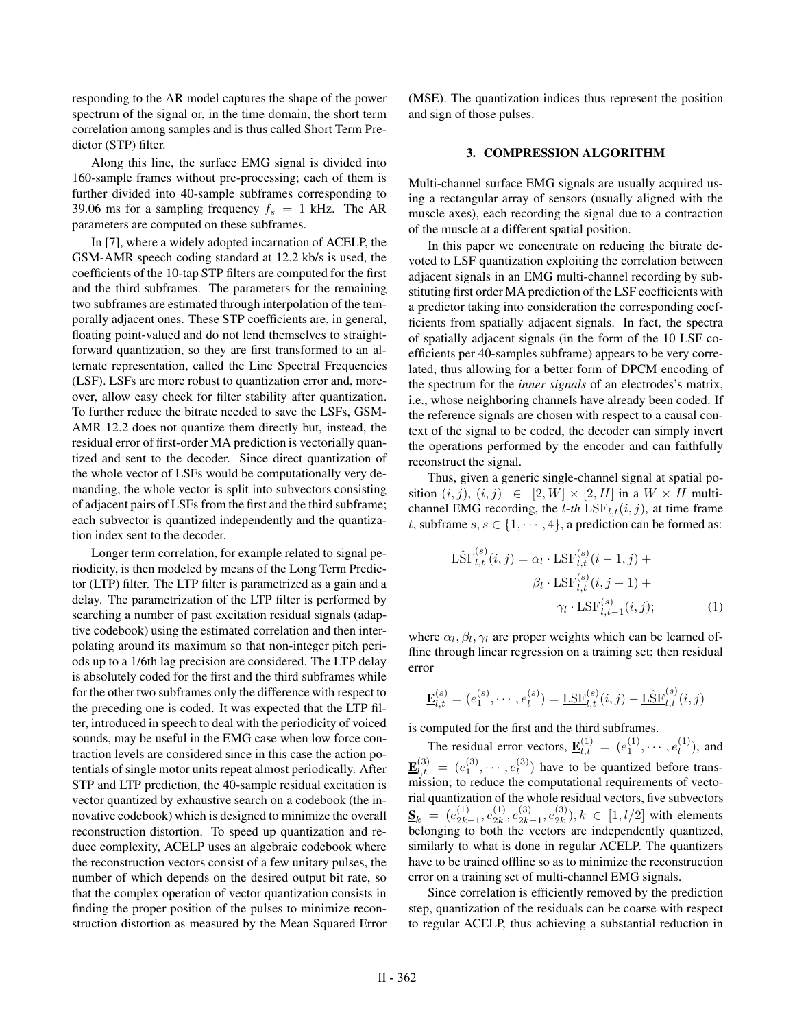responding to the AR model captures the shape of the power spectrum of the signal or, in the time domain, the short term correlation among samples and is thus called Short Term Predictor (STP) filter.

Along this line, the surface EMG signal is divided into 160-sample frames without pre-processing; each of them is further divided into 40-sample subframes corresponding to 39.06 ms for a sampling frequency  $f_s = 1$  kHz. The AR parameters are computed on these subframes.

In [7], where a widely adopted incarnation of ACELP, the GSM-AMR speech coding standard at 12.2 kb/s is used, the coefficients of the 10-tap STP filters are computed for the first and the third subframes. The parameters for the remaining two subframes are estimated through interpolation of the temporally adjacent ones. These STP coefficients are, in general, floating point-valued and do not lend themselves to straightforward quantization, so they are first transformed to an alternate representation, called the Line Spectral Frequencies (LSF). LSFs are more robust to quantization error and, moreover, allow easy check for filter stability after quantization. To further reduce the bitrate needed to save the LSFs, GSM-AMR 12.2 does not quantize them directly but, instead, the residual error of first-order MA prediction is vectorially quantized and sent to the decoder. Since direct quantization of the whole vector of LSFs would be computationally very demanding, the whole vector is split into subvectors consisting of adjacent pairs of LSFs from the first and the third subframe; each subvector is quantized independently and the quantization index sent to the decoder.

Longer term correlation, for example related to signal periodicity, is then modeled by means of the Long Term Predictor (LTP) filter. The LTP filter is parametrized as a gain and a delay. The parametrization of the LTP filter is performed by searching a number of past excitation residual signals (adaptive codebook) using the estimated correlation and then interpolating around its maximum so that non-integer pitch periods up to a 1/6th lag precision are considered. The LTP delay is absolutely coded for the first and the third subframes while for the other two subframes only the difference with respect to the preceding one is coded. It was expected that the LTP filter, introduced in speech to deal with the periodicity of voiced sounds, may be useful in the EMG case when low force contraction levels are considered since in this case the action potentials of single motor units repeat almost periodically. After STP and LTP prediction, the 40-sample residual excitation is vector quantized by exhaustive search on a codebook (the innovative codebook) which is designed to minimize the overall reconstruction distortion. To speed up quantization and reduce complexity, ACELP uses an algebraic codebook where the reconstruction vectors consist of a few unitary pulses, the number of which depends on the desired output bit rate, so that the complex operation of vector quantization consists in finding the proper position of the pulses to minimize reconstruction distortion as measured by the Mean Squared Error (MSE). The quantization indices thus represent the position and sign of those pulses.

#### 3. COMPRESSION ALGORITHM

Multi-channel surface EMG signals are usually acquired using a rectangular array of sensors (usually aligned with the muscle axes), each recording the signal due to a contraction of the muscle at a different spatial position.

In this paper we concentrate on reducing the bitrate devoted to LSF quantization exploiting the correlation between adjacent signals in an EMG multi-channel recording by substituting first order MA prediction of the LSF coefficients with a predictor taking into consideration the corresponding coefficients from spatially adjacent signals. In fact, the spectra of spatially adjacent signals (in the form of the 10 LSF coefficients per 40-samples subframe) appears to be very correlated, thus allowing for a better form of DPCM encoding of the spectrum for the *inner signals* of an electrodes's matrix, i.e., whose neighboring channels have already been coded. If the reference signals are chosen with respect to a causal context of the signal to be coded, the decoder can simply invert the operations performed by the encoder and can faithfully reconstruct the signal.

Thus, given a generic single-channel signal at spatial position  $(i, j)$ ,  $(i, j) \in [2, W] \times [2, H]$  in a  $W \times H$  multichannel EMG recording, the *l*-th  $LSF_{l,t}(i, j)$ , at time frame t, subframe  $s, s \in \{1, \dots, 4\}$ , a prediction can be formed as:

$$
\hat{\text{LSF}}_{l,t}^{(s)}(i,j) = \alpha_l \cdot \text{LSF}_{l,t}^{(s)}(i-1,j) +
$$

$$
\beta_l \cdot \text{LSF}_{l,t}^{(s)}(i,j-1) +
$$

$$
\gamma_l \cdot \text{LSF}_{l,t-1}^{(s)}(i,j); \tag{1}
$$

where  $\alpha_l$ ,  $\beta_l$ ,  $\gamma_l$  are proper weights which can be learned offline through linear regression on a training set; then residual error

$$
\underline{\mathbf{E}}_{l,t}^{(s)} = (e_1^{(s)}, \cdots, e_l^{(s)}) = \underline{\text{LSF}}_{l,t}^{(s)}(i,j) - \underline{\text{LSF}}_{l,t}^{(s)}(i,j)
$$

is computed for the first and the third subframes.

The residual error vectors,  $\underline{\mathbf{E}}_{l,t}^{(1)} = (e_1^{(1)}, \cdots, e_l^{(1)})$ , and  $\underline{\mathbf{E}}_{l,t}^{(3)} = (e_1^{(3)}, \cdots, e_l^{(3)})$  have to be quantized before transmission; to reduce the computational requirements of vectorial quantization of the whole residual vectors, five subvectors  $S_k = (e_{2k-1}^{(1)}, e_{2k}^{(1)}, e_{2k-1}^{(3)}, e_{2k}^{(3)}), k \in [1, l/2]$  with elements belonging to both the vectors are independently quantized, similarly to what is done in regular ACELP. The quantizers have to be trained offline so as to minimize the reconstruction error on a training set of multi-channel EMG signals.

Since correlation is efficiently removed by the prediction step, quantization of the residuals can be coarse with respect to regular ACELP, thus achieving a substantial reduction in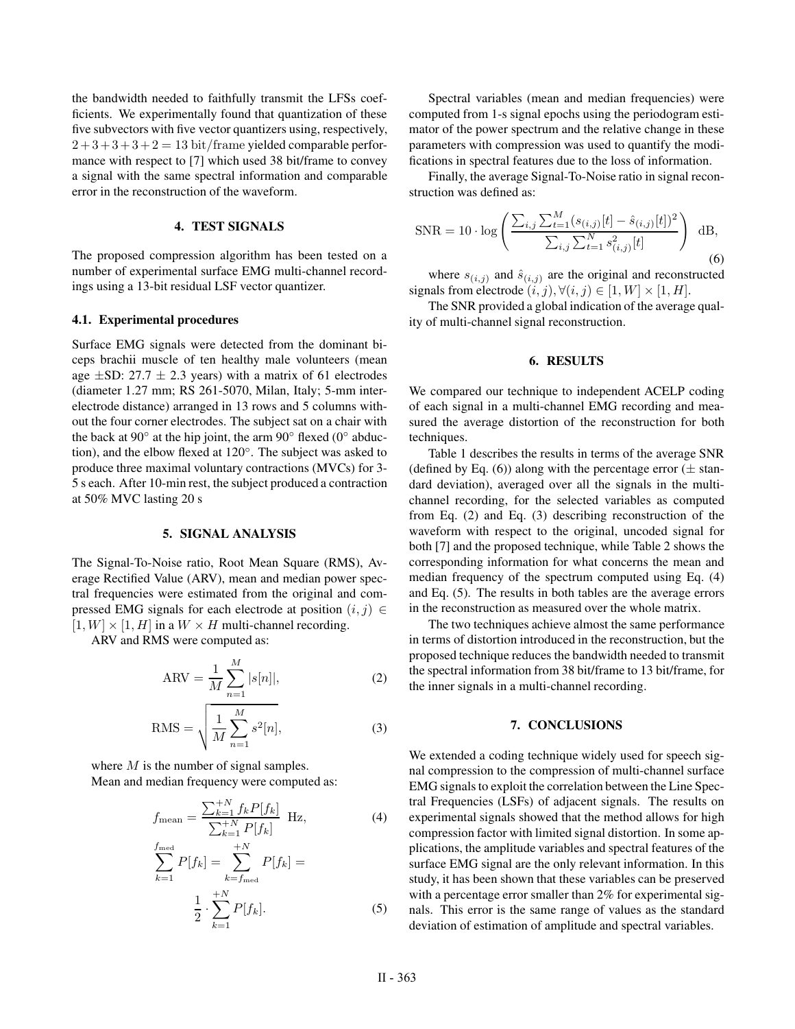the bandwidth needed to faithfully transmit the LFSs coefficients. We experimentally found that quantization of these five subvectors with five vector quantizers using, respectively,  $2+3+3+3+2=13$  bit/frame yielded comparable performance with respect to [7] which used 38 bit/frame to convey a signal with the same spectral information and comparable error in the reconstruction of the waveform.

#### 4. TEST SIGNALS

The proposed compression algorithm has been tested on a number of experimental surface EMG multi-channel recordings using a 13-bit residual LSF vector quantizer.

#### 4.1. Experimental procedures

Surface EMG signals were detected from the dominant biceps brachii muscle of ten healthy male volunteers (mean age  $\pm$ SD: 27.7  $\pm$  2.3 years) with a matrix of 61 electrodes (diameter 1.27 mm; RS 261-5070, Milan, Italy; 5-mm interelectrode distance) arranged in 13 rows and 5 columns without the four corner electrodes. The subject sat on a chair with the back at 90 $\degree$  at the hip joint, the arm 90 $\degree$  flexed (0 $\degree$  abduction), and the elbow flexed at 120◦. The subject was asked to produce three maximal voluntary contractions (MVCs) for 3- 5 s each. After 10-min rest, the subject produced a contraction at 50% MVC lasting 20 s

#### 5. SIGNAL ANALYSIS

The Signal-To-Noise ratio, Root Mean Square (RMS), Average Rectified Value (ARV), mean and median power spectral frequencies were estimated from the original and compressed EMG signals for each electrode at position  $(i, j) \in$  $[1, W] \times [1, H]$  in a  $W \times H$  multi-channel recording.

ARV and RMS were computed as:

$$
ARV = \frac{1}{M} \sum_{n=1}^{M} |s[n]|,
$$
 (2)

$$
RMS = \sqrt{\frac{1}{M} \sum_{n=1}^{M} s^2[n]},
$$
\n(3)

where M is the number of signal samples. Mean and median frequency were computed as:

$$
f_{\text{mean}} = \frac{\sum_{k=1}^{+N} f_k P[f_k]}{\sum_{k=1}^{+N} P[f_k]} \text{ Hz},\tag{4}
$$

$$
\sum_{k=1} P[f_k] = \sum_{k=f_{\text{med}}} P[f_k] =
$$
  

$$
\frac{1}{2} \cdot \sum_{k=1}^{+N} P[f_k].
$$
 (5)

Spectral variables (mean and median frequencies) were computed from 1-s signal epochs using the periodogram estimator of the power spectrum and the relative change in these parameters with compression was used to quantify the modifications in spectral features due to the loss of information.

Finally, the average Signal-To-Noise ratio in signal reconstruction was defined as:

$$
\text{SNR} = 10 \cdot \log \left( \frac{\sum_{i,j} \sum_{t=1}^{M} (s_{(i,j)}[t] - \hat{s}_{(i,j)}[t])^2}{\sum_{i,j} \sum_{t=1}^{N} s_{(i,j)}^2[t]} \right) dB,
$$
\n
$$
(6)
$$

where  $s_{(i,j)}$  and  $\hat{s}_{(i,j)}$  are the original and reconstructed signals from electrode  $(i, j)$ ,  $\forall (i, j) \in [1, W] \times [1, H]$ .

The SNR provided a global indication of the average quality of multi-channel signal reconstruction.

#### 6. RESULTS

We compared our technique to independent ACELP coding of each signal in a multi-channel EMG recording and measured the average distortion of the reconstruction for both techniques.

Table 1 describes the results in terms of the average SNR (defined by Eq. (6)) along with the percentage error  $(\pm \sin^{-1} \theta)$ dard deviation), averaged over all the signals in the multichannel recording, for the selected variables as computed from Eq. (2) and Eq. (3) describing reconstruction of the waveform with respect to the original, uncoded signal for both [7] and the proposed technique, while Table 2 shows the corresponding information for what concerns the mean and median frequency of the spectrum computed using Eq. (4) and Eq. (5). The results in both tables are the average errors in the reconstruction as measured over the whole matrix.

The two techniques achieve almost the same performance in terms of distortion introduced in the reconstruction, but the proposed technique reduces the bandwidth needed to transmit the spectral information from 38 bit/frame to 13 bit/frame, for the inner signals in a multi-channel recording.

#### 7. CONCLUSIONS

We extended a coding technique widely used for speech signal compression to the compression of multi-channel surface EMG signals to exploit the correlation between the Line Spectral Frequencies (LSFs) of adjacent signals. The results on experimental signals showed that the method allows for high compression factor with limited signal distortion. In some applications, the amplitude variables and spectral features of the surface EMG signal are the only relevant information. In this study, it has been shown that these variables can be preserved with a percentage error smaller than 2% for experimental signals. This error is the same range of values as the standard deviation of estimation of amplitude and spectral variables.